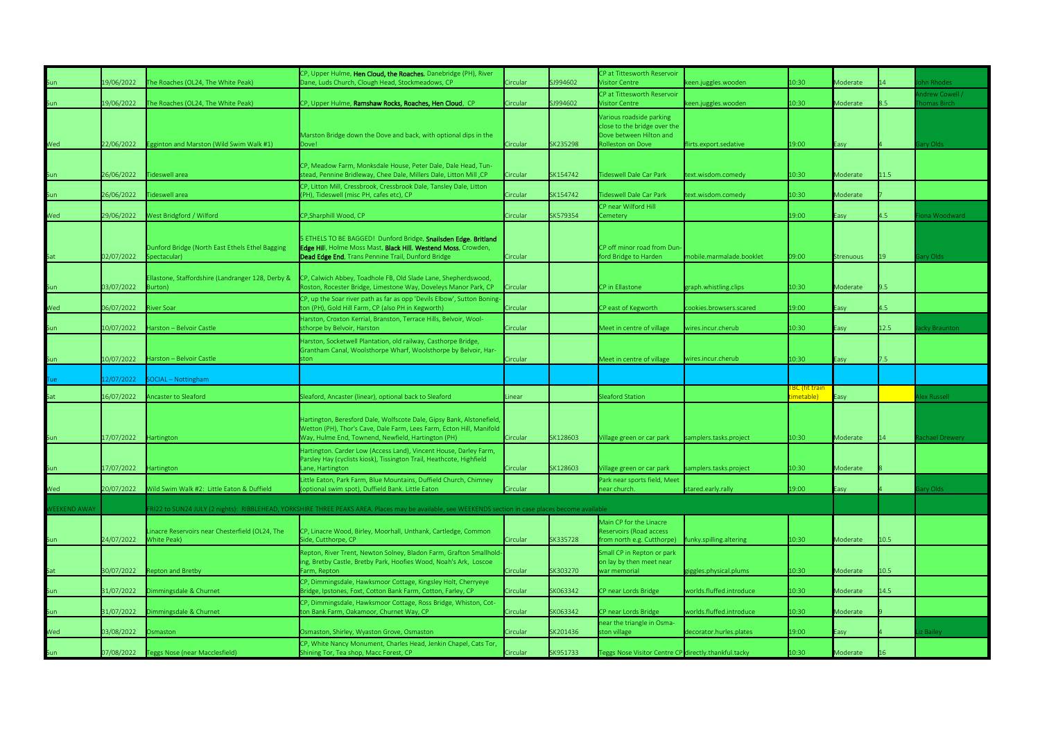|                     |            |                                                                 | CP, Upper Hulme, Hen Cloud, the Roaches, Danebridge (PH), River                                                                                                                                     |          |          | CP at Tittesworth Reservoir                                                         |                          |                                    |           |      |                                |
|---------------------|------------|-----------------------------------------------------------------|-----------------------------------------------------------------------------------------------------------------------------------------------------------------------------------------------------|----------|----------|-------------------------------------------------------------------------------------|--------------------------|------------------------------------|-----------|------|--------------------------------|
| Sun                 | 19/06/2022 | The Roaches (OL24, The White Peak)                              | Dane, Luds Church, Clough Head, Stockmeadows, CP                                                                                                                                                    | Circular | SJ994602 | <b>Visitor Centre</b>                                                               | ceen.juggles.wooden      | 10:30                              | Moderate  |      | hn Rhodes                      |
|                     | 19/06/2022 | The Roaches (OL24, The White Peak)                              | CP, Upper Hulme, Ramshaw Rocks, Roaches, Hen Cloud, CP                                                                                                                                              | Circular | SJ994602 | CP at Tittesworth Reservoir<br><b>Visitor Centre</b>                                |                          | 10:30                              | Moderate  |      | / Andrew Cowell<br>homas Birch |
| Sun                 |            |                                                                 | Marston Bridge down the Dove and back, with optional dips in the                                                                                                                                    |          |          | Various roadside parking<br>close to the bridge over the<br>Dove between Hilton and | keen.juggles.wooden      |                                    |           |      |                                |
| Wed                 | 22/06/2022 | Egginton and Marston (Wild Swim Walk #1)                        | Dove!                                                                                                                                                                                               | Circular | SK235298 | <b>Rolleston on Dove</b>                                                            | lirts.export.sedative    | 19:00                              | Easy      |      | ary Olds                       |
| <u>Sun</u>          | 26/06/2022 | <b>Tideswell area</b>                                           | CP, Meadow Farm, Monksdale House, Peter Dale, Dale Head, Tun-<br>stead, Pennine Bridleway, Chee Dale, Millers Dale, Litton Mill, CP                                                                 | Circular | SK154742 | <b>Tideswell Dale Car Park</b>                                                      | text.wisdom.comedy       | 10:30                              | Moderate  | 11.5 |                                |
|                     |            |                                                                 | CP, Litton Mill, Cressbrook, Cressbrook Dale, Tansley Dale, Litton                                                                                                                                  |          |          |                                                                                     |                          |                                    |           |      |                                |
| Sun                 | 26/06/2022 | Tideswell area                                                  | (PH), Tideswell (misc PH, cafes etc), CP                                                                                                                                                            | Circular | SK154742 | <b>Tideswell Dale Car Park</b>                                                      | text.wisdom.comedy       | 10:30                              | Moderate  |      |                                |
| Wed                 | 29/06/2022 | West Bridgford / Wilford                                        | CP, Sharphill Wood, CP                                                                                                                                                                              | Circular | SK579354 | CP near Wilford Hill<br>Cemetery                                                    |                          | 19:00                              | Easy      | 4.5  | ona Woodward                   |
| <u>Sat</u>          | 02/07/2022 | Dunford Bridge (North East Ethels Ethel Bagging<br>Spectacular) | 5 ETHELS TO BE BAGGED! Dunford Bridge, Snailsden Edge, Britland<br>Edge Hill, Holme Moss Mast, Black Hill, Westend Moss, Crowden,<br>Dead Edge End, Trans Pennine Trail, Dunford Bridge             | Circular |          | CP off minor road from Dun-<br>ford Bridge to Harden                                | mobile.marmalade.booklet | 09:00                              | Strenuous | 19   | iary Olds                      |
| Sun                 | 03/07/2022 | Ellastone, Staffordshire (Landranger 128, Derby &<br>Burton)    | CP, Calwich Abbey, Toadhole FB, Old Slade Lane, Shepherdswood,<br>Roston, Rocester Bridge, Limestone Way, Doveleys Manor Park, CP                                                                   | Circular |          | CP in Ellastone                                                                     | graph.whistling.clips    | 10:30                              | Moderate  | 9.5  |                                |
| Wed                 | 06/07/2022 | iver Soar                                                       | CP, up the Soar river path as far as opp 'Devils Elbow', Sutton Boning<br>ton (PH), Gold Hill Farm, CP (also PH in Kegworth)                                                                        | Circular |          | CP east of Kegworth                                                                 | cookies.browsers.scared  | 19:00                              | Easy      | 4.5  |                                |
| Sun                 | 10/07/2022 | Harston - Belvoir Castle                                        | Harston, Croxton Kerrial, Branston, Terrace Hills, Belvoir, Wool-<br>sthorpe by Belvoir, Harston                                                                                                    | Circular |          | Meet in centre of village                                                           | wires.incur.cherub       | 10:30                              | Easy      | 12.5 | acky Braunton                  |
|                     |            |                                                                 | Harston, Socketwell Plantation, old railway, Casthorpe Bridge,                                                                                                                                      |          |          |                                                                                     |                          |                                    |           |      |                                |
| Sun                 | 10/07/2022 | Harston - Belvoir Castle                                        | Grantham Canal, Woolsthorpe Wharf, Woolsthorpe by Belvoir, Har-<br>ston i                                                                                                                           | Circular |          | Meet in centre of village                                                           | wires.incur.cherub       | 10:30                              | Easy      | 7.5  |                                |
| Tue                 | l2/07/2022 | SOCIAL - Nottingham                                             |                                                                                                                                                                                                     |          |          |                                                                                     |                          |                                    |           |      |                                |
| Sat                 | 16/07/2022 | Ancaster to Sleaford                                            | Sleaford, Ancaster (linear), optional back to Sleaford                                                                                                                                              | Linear   |          | Sleaford Station                                                                    |                          | <b>FBC (fit train</b><br>imetable) | Easy      |      | Alex Russell                   |
| Sun                 | 17/07/2022 | Hartington                                                      | Hartington, Beresford Dale, Wolfscote Dale, Gipsy Bank, Alstonefield,<br>Wetton (PH), Thor's Cave, Dale Farm, Lees Farm, Ecton Hill, Manifold<br>Way, Hulme End, Townend, Newfield, Hartington (PH) | Circular | SK128603 | Village green or car park                                                           | samplers.tasks.project   | 10:30                              | Moderate  |      | achael Drewery                 |
|                     |            |                                                                 | Hartington. Carder Low (Access Land), Vincent House, Darley Farm,<br>arsley Hay (cyclists kiosk), Tissington Trail, Heathcote, Highfield '                                                          |          |          |                                                                                     |                          |                                    |           |      |                                |
| Sun                 | 17/07/2022 | Hartington                                                      | ane, Hartington                                                                                                                                                                                     | Circular | SK128603 | Village green or car park                                                           | samplers.tasks.project   | 10:30                              | Moderate  |      |                                |
| Wed                 | 20/07/2022 | Wild Swim Walk #2: Little Eaton & Duffield                      | Little Eaton, Park Farm, Blue Mountains, Duffield Church, Chimney<br>optional swim spot), Duffield Bank. Little Eaton                                                                               | Circular |          | Park near sports field, Meet<br>near church.                                        | stared.early.rally       | 19:00                              | Easy      |      | ary Olds                       |
| <b>WEEKEND AWAY</b> |            |                                                                 | -RI22 to SUN24 JULY (2 nights): RIBBLEHEAD, YORKSHIRE THREE PEAKS AREA. Places may be available, see WEEKENDS section in case places become available                                               |          |          |                                                                                     |                          |                                    |           |      |                                |
|                     |            |                                                                 |                                                                                                                                                                                                     |          |          | Main CP for the Linacre                                                             |                          |                                    |           |      |                                |
| Sun                 | 24/07/2022 | Linacre Reservoirs near Chesterfield (OL24, The<br>White Peak)  | CP, Linacre Wood, Birley, Moorhall, Unthank, Cartledge, Common<br>Side, Cutthorpe, CP                                                                                                               | Circular | SK335728 | Reservoirs (Road access<br>from north e.g. Cutthorpe)                               | funky.spilling.altering  | 10:30                              | Moderate  | 10.5 |                                |
|                     |            |                                                                 | Repton, River Trent, Newton Solney, Bladon Farm, Grafton Smallhold-                                                                                                                                 |          |          | Small CP in Repton or park                                                          |                          |                                    |           |      |                                |
| Sat                 | 30/07/2022 | Repton and Bretby                                               | ing, Bretby Castle, Bretby Park, Hoofies Wood, Noah's Ark, Loscoe<br>arm, Repton                                                                                                                    | Circular | SK303270 | on lay by then meet near<br>war memorial                                            | giggles.physical.plums   | 10:30                              | Moderate  | 10.5 |                                |
| Sun                 | 31/07/2022 | Dimmingsdale & Churnet                                          | CP, Dimmingsdale, Hawksmoor Cottage, Kingsley Holt, Cherryeye<br>Bridge, Ipstones, Foxt, Cotton Bank Farm, Cotton, Farley, CP                                                                       | Circular | SK063342 | CP near Lords Bridge                                                                | worlds.fluffed.introduce | 10:30                              | Moderate  | 14.5 |                                |
| Sun                 | 31/07/2022 | Dimmingsdale & Churnet                                          | CP, Dimmingsdale, Hawksmoor Cottage, Ross Bridge, Whiston, Cot-<br>on Bank Farm, Oakamoor, Churnet Way, CP                                                                                          | Circular | SK063342 | CP near Lords Bridge                                                                | worlds.fluffed.introduce | 10:30                              | Moderate  |      |                                |
| Wed                 | 03/08/2022 | Osmaston                                                        | Osmaston, Shirley, Wyaston Grove, Osmaston                                                                                                                                                          | Circular | SK201436 | near the triangle in Osma-<br>ston village                                          | decorator.hurles.plates  | 19:00                              | Easy      |      | iz Bailey                      |
|                     | 07/08/2022 |                                                                 | CP, White Nancy Monument, Charles Head, Jenkin Chapel, Cats Tor,                                                                                                                                    | Circular | SK951733 | Teggs Nose Visitor Centre CP directly.thankful.tacky                                |                          | 10:30                              |           |      |                                |
| Sun                 |            | Teggs Nose (near Macclesfield)                                  | Shining Tor, Tea shop, Macc Forest, CP                                                                                                                                                              |          |          |                                                                                     |                          |                                    | Moderate  |      |                                |